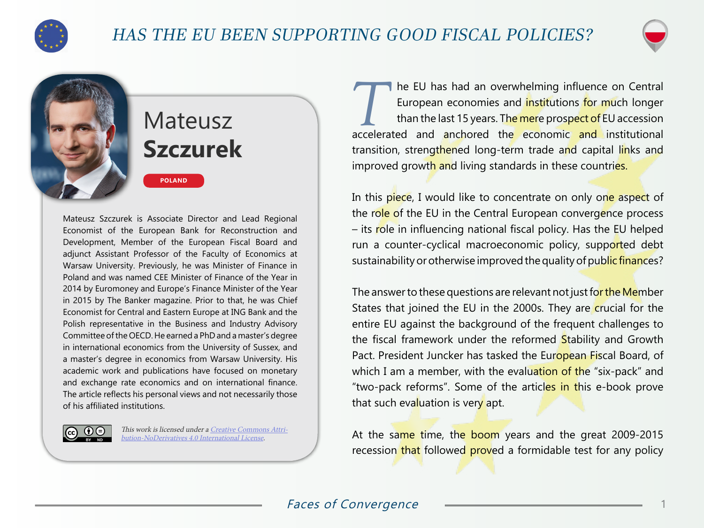



## Mateusz **Szczurek**

**POLAND**

Mateusz Szczurek is Associate Director and Lead Regional Economist of the European Bank for Reconstruction and Development, Member of the European Fiscal Board and adjunct Assistant Professor of the Faculty of Economics at Warsaw University. Previously, he was Minister of Finance in Poland and was named CEE Minister of Finance of the Year in 2014 by Euromoney and Europe's Finance Minister of the Year in 2015 by The Banker magazine. Prior to that, he was Chief Economist for Central and Eastern Europe at ING Bank and the Polish representative in the Business and Industry Advisory Committee of the OECD. He earned a PhD and a master's degree in international economics from the University of Sussex, and a master's degree in economics from Warsaw University. His academic work and publications have focused on monetary and exchange rate economics and on international finance. The article reflects his personal views and not necessarily those of his affiliated institutions.

This work is licensed under a [Creative Commons Attri-](https://creativecommons.org/licenses/by-nd/4.0/) $G \odot \Theta$ [bution-NoDerivatives 4.0 International License](https://creativecommons.org/licenses/by-nd/4.0/).

The EU has had an overwhelming influence on Central<br>
European economies and institutions for much longer<br>
than the last 15 years. The mere prospect of EU accession European economies and institutions for much longer accelerated and anchored the economic and institutional transition, strengthened long-term trade and capital links and improved growth and living standards in these countries.

In this piece, I would like to concentrate on only one aspect of the role of the EU in the Central European convergence process – its role in influencing national fiscal policy. Has the EU helped run a counter-cyclical macroeconomic policy, supported debt sustainability or otherwise improved the quality of public finances?

The answer to these questions are relevant not just for the Member States that joined the EU in the 2000s. They are crucial for the entire EU against the background of the frequent challenges to the fiscal framework under the reformed Stability and Growth Pact. President Juncker has tasked the European Fiscal Board, of which I am a member, with the evaluation of the "six-pack" and "two-pack reforms". Some of the articles in this e-book prove that such evaluation is very apt.

At the same time, the boom years and the great 2009-2015 recession that followed proved a formidable test for any policy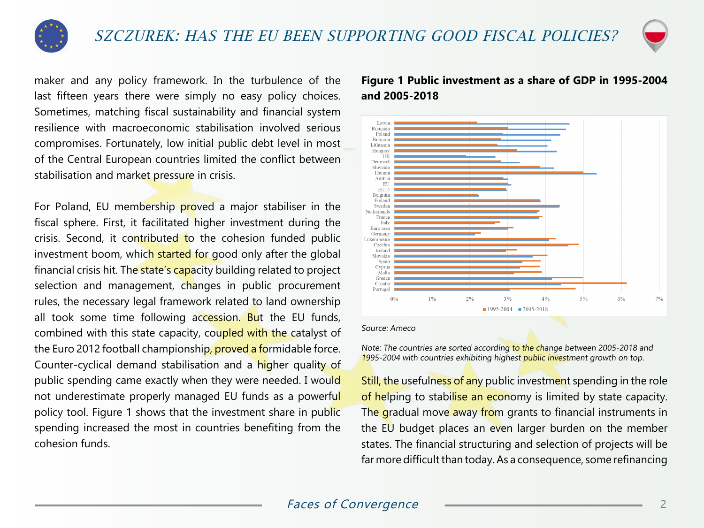



maker and any policy framework. In the turbulence of the last fifteen years there were simply no easy policy choices. Sometimes, matching fiscal sustainability and financial system resilience with macroeconomic stabilisation involved serious compromises. Fortunately, low initial public debt level in most of the Central European countries limited the conflict between stabilisation and market pressure in crisis.

For Poland, EU membership proved a major stabiliser in the fiscal sphere. First, it facilitated higher investment during the crisis. Second, it contributed to the cohesion funded public investment boom, which started for good only after the global financial crisis hit. The state's capacity building related to project selection and management, changes in public procurement rules, the necessary legal framework related to land ownership all took some time following accession. But the EU funds, combined with this state capacity, coupled with the catalyst of the Euro 2012 football championship, proved a formidable force. Counter-cyclical demand stabilisation and a higher quality of public spending came exactly when they were needed. I would not underestimate properly managed EU funds as a powerful policy tool. Figure 1 shows that the investment share in public spending increased the most in countries benefiting from the cohesion funds.

## **Figure 1 Public investment as a share of GDP in 1995-2004 and 2005-2018**



Source: Ameco

Note: The countries are sorted according to the change between 2005-2018 and 1995-2004 with countries exhibiting highest public investment growth on top.

Still, the usefulness of any public investment spending in the role of helping to stabilise an economy is limited by state capacity. The gradual move away from grants to financial instruments in the EU budget places an even larger burden on the member states. The financial structuring and selection of projects will be far more difficult than today. As a consequence, some refinancing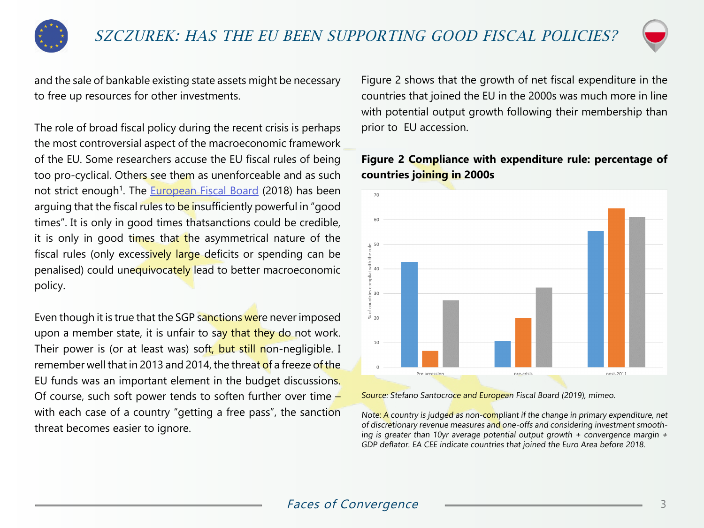



and the sale of bankable existing state assets might be necessary to free up resources for other investments.

The role of broad fiscal policy during the recent crisis is perhaps the most controversial aspect of the macroeconomic framework of the EU. Some researchers accuse the EU fiscal rules of being too pro-cyclical. Others see them as unenforceable and as such not strict enough<sup>1</sup>. The [European Fiscal Board](https://ec.europa.eu/info/publications/assessment-fiscal-stance-euro-area-2019_en) (2018) has been arguing that the fiscal rules to be insufficiently powerful in "good times". It is only in good times thatsanctions could be credible, it is only in good times that the asymmetrical nature of the fiscal rules (only excessively large deficits or spending can be penalised) could unequivocately lead to better macroeconomic policy.

Even though it is true that the SGP sanctions were never imposed upon a member state, it is unfair to say that they do not work. Their power is (or at least was) soft, but still non-negligible. I remember well that in 2013 and 2014, the threat of a freeze of the EU funds was an important element in the budget discussions. Of course, such soft power tends to soften further over time  $$ with each case of a country "getting a free pass", the sanction threat becomes easier to ignore.

Figure 2 shows that the growth of net fiscal expenditure in the countries that joined the EU in the 2000s was much more in line with potential output growth following their membership than prior to EU accession.

## $70$  $\frac{0}{7}$  50  $\frac{11}{8}$  40  $\frac{16}{12}$  30  $820$ 10 nost-2011 Pre accession are-crisi

**Figure 2 Compliance with expenditure rule: percentage of countries joining in 2000s**

Source: Stefano Santocroce and European Fiscal Board (2019), mimeo.

Note: A country is judged as non-compliant if the change in primary expenditure, net of discretionary revenue measures and one-offs and considering investment smoothing is greater than 10yr average potential output growth  $+$  convergence margin  $+$ GDP deflator. EA CEE indicate countries that joined the Euro Area before 2018.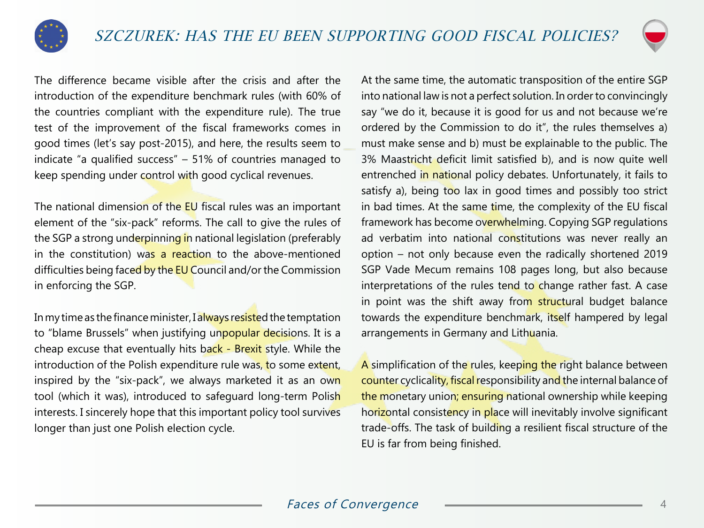



The difference became visible after the crisis and after the introduction of the expenditure benchmark rules (with 60% of the countries compliant with the expenditure rule). The true test of the improvement of the fiscal frameworks comes in good times (let's say post-2015), and here, the results seem to indicate "a qualified success" – 51% of countries managed to keep spending under control with good cyclical revenues.

The national dimension of the EU fiscal rules was an important element of the "six-pack" reforms. The call to give the rules of the SGP a strong underpinning in national legislation (preferably in the constitution) was a reaction to the above-mentioned difficulties being faced by the EU Council and/or the Commission in enforcing the SGP.

In my time as the finance minister, I always resisted the temptation to "blame Brussels" when justifying unpopular decisions. It is a cheap excuse that eventually hits back - Brexit style. While the introduction of the Polish expenditure rule was, to some extent, inspired by the "six-pack", we always marketed it as an own tool (which it was), introduced to safeguard long-term Polish interests. I sincerely hope that this important policy tool survives longer than just one Polish election cycle.

At the same time, the automatic transposition of the entire SGP into national law is not a perfect solution. In order to convincingly say "we do it, because it is good for us and not because we're ordered by the Commission to do it", the rules themselves a) must make sense and b) must be explainable to the public. The 3% Maastricht deficit limit satisfied b), and is now quite well entrenched in national policy debates. Unfortunately, it fails to satisfy a), being too lax in good times and possibly too strict in bad times. At the same time, the complexity of the EU fiscal framework has become overwhelming. Copying SGP regulations ad verbatim into national constitutions was never really an option – not only because even the radically shortened 2019 SGP Vade Mecum remains 108 pages long, but also because interpretations of the rules tend to change rather fast. A case in point was the shift away from structural budget balance towards the expenditure benchmark, itself hampered by legal arrangements in Germany and Lithuania.

A simplification of the rules, keeping the right balance between counter cyclicality, fiscal responsibility and the internal balance of the monetary union; ensuring national ownership while keeping horizontal consistency in place will inevitably involve significant trade-offs. The task of building a resilient fiscal structure of the EU is far from being finished.